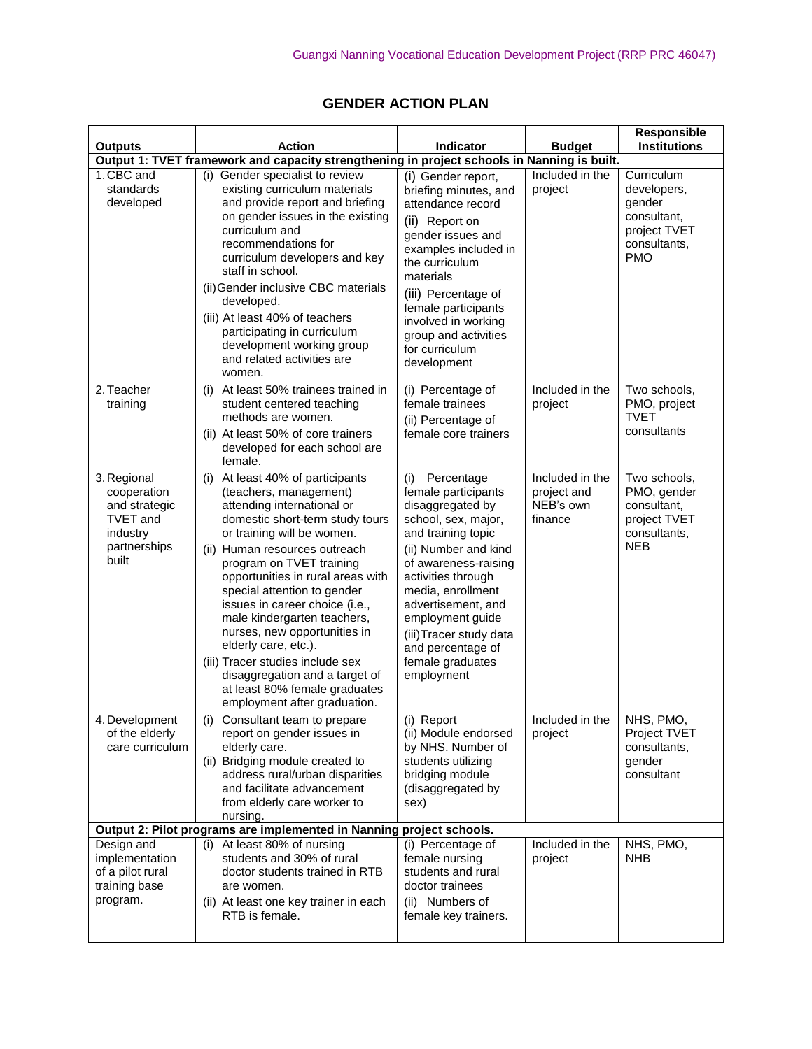## **GENDER ACTION PLAN**

| <b>Outputs</b>                                                                                      | <b>Action</b>                                                                                                                                                                                                                                                                                                                                                                                                                                                                                                                                                 | Indicator                                                                                                                                                                                                                                                                                                                        | <b>Budget</b>                                          | Responsible<br><b>Institutions</b>                                                               |
|-----------------------------------------------------------------------------------------------------|---------------------------------------------------------------------------------------------------------------------------------------------------------------------------------------------------------------------------------------------------------------------------------------------------------------------------------------------------------------------------------------------------------------------------------------------------------------------------------------------------------------------------------------------------------------|----------------------------------------------------------------------------------------------------------------------------------------------------------------------------------------------------------------------------------------------------------------------------------------------------------------------------------|--------------------------------------------------------|--------------------------------------------------------------------------------------------------|
|                                                                                                     | Output 1: TVET framework and capacity strengthening in project schools in Nanning is built.                                                                                                                                                                                                                                                                                                                                                                                                                                                                   |                                                                                                                                                                                                                                                                                                                                  |                                                        |                                                                                                  |
| 1. CBC and<br>standards<br>developed                                                                | (i) Gender specialist to review<br>existing curriculum materials<br>and provide report and briefing<br>on gender issues in the existing<br>curriculum and<br>recommendations for<br>curriculum developers and key<br>staff in school.<br>(ii) Gender inclusive CBC materials<br>developed.<br>(iii) At least 40% of teachers<br>participating in curriculum<br>development working group<br>and related activities are<br>women.                                                                                                                              | (i) Gender report,<br>briefing minutes, and<br>attendance record<br>(ii) Report on<br>gender issues and<br>examples included in<br>the curriculum<br>materials<br>(iii) Percentage of<br>female participants<br>involved in working<br>group and activities<br>for curriculum<br>development                                     | Included in the<br>project                             | Curriculum<br>developers,<br>gender<br>consultant,<br>project TVET<br>consultants,<br><b>PMO</b> |
| 2. Teacher<br>training                                                                              | At least 50% trainees trained in<br>(i)<br>student centered teaching<br>methods are women.<br>(ii) At least 50% of core trainers<br>developed for each school are<br>female.                                                                                                                                                                                                                                                                                                                                                                                  | (i) Percentage of<br>female trainees<br>(ii) Percentage of<br>female core trainers                                                                                                                                                                                                                                               | Included in the<br>project                             | Two schools,<br>PMO, project<br><b>TVET</b><br>consultants                                       |
| 3. Regional<br>cooperation<br>and strategic<br><b>TVET</b> and<br>industry<br>partnerships<br>built | At least 40% of participants<br>(i)<br>(teachers, management)<br>attending international or<br>domestic short-term study tours<br>or training will be women.<br>(ii) Human resources outreach<br>program on TVET training<br>opportunities in rural areas with<br>special attention to gender<br>issues in career choice (i.e.,<br>male kindergarten teachers,<br>nurses, new opportunities in<br>elderly care, etc.).<br>(iii) Tracer studies include sex<br>disaggregation and a target of<br>at least 80% female graduates<br>employment after graduation. | Percentage<br>(i)<br>female participants<br>disaggregated by<br>school, sex, major,<br>and training topic<br>(ii) Number and kind<br>of awareness-raising<br>activities through<br>media, enrollment<br>advertisement, and<br>employment guide<br>(iii) Tracer study data<br>and percentage of<br>female graduates<br>employment | Included in the<br>project and<br>NEB's own<br>finance | Two schools,<br>PMO, gender<br>consultant,<br>project TVET<br>consultants,<br><b>NEB</b>         |
| 4. Development<br>of the elderly<br>care curriculum                                                 | (i) Consultant team to prepare<br>report on gender issues in<br>elderly care.<br>(ii) Bridging module created to<br>address rural/urban disparities<br>and facilitate advancement<br>from elderly care worker to<br>nursing.                                                                                                                                                                                                                                                                                                                                  | (i) Report<br>(ii) Module endorsed<br>by NHS. Number of<br>students utilizing<br>bridging module<br>(disaggregated by<br>sex)                                                                                                                                                                                                    | Included in the<br>project                             | NHS, PMO,<br>Project TVET<br>consultants,<br>gender<br>consultant                                |
|                                                                                                     | Output 2: Pilot programs are implemented in Nanning project schools.                                                                                                                                                                                                                                                                                                                                                                                                                                                                                          |                                                                                                                                                                                                                                                                                                                                  |                                                        | NHS, PMO,                                                                                        |
| Design and<br>implementation<br>of a pilot rural<br>training base<br>program.                       | (i) At least 80% of nursing<br>students and 30% of rural<br>doctor students trained in RTB<br>are women.<br>(ii) At least one key trainer in each<br>RTB is female.                                                                                                                                                                                                                                                                                                                                                                                           | (i) Percentage of<br>female nursing<br>students and rural<br>doctor trainees<br>(ii) Numbers of<br>female key trainers.                                                                                                                                                                                                          | Included in the<br>project                             | <b>NHB</b>                                                                                       |